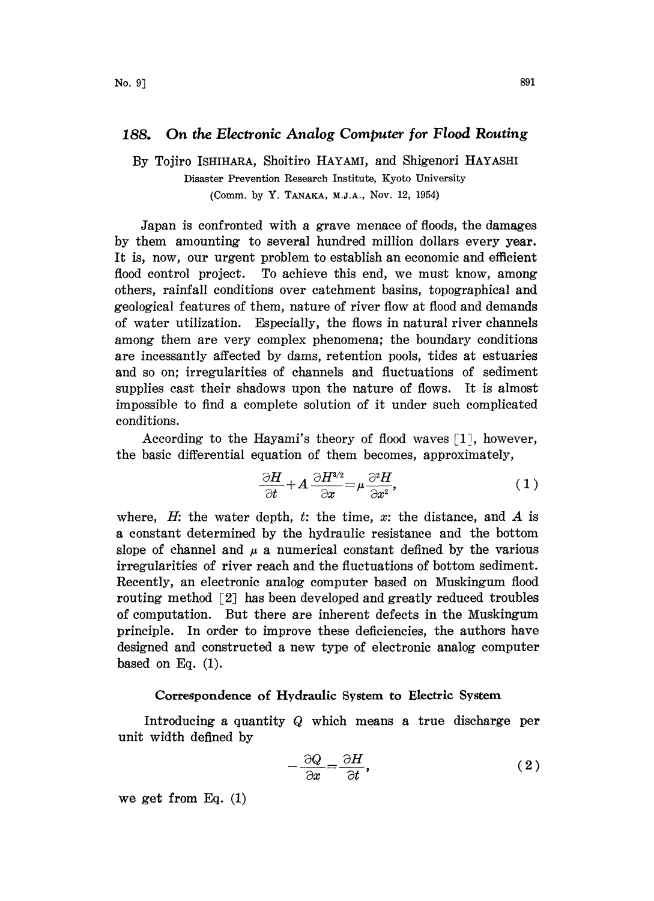# 188. On the Electronic Analog Computer for Flood Routing

By Tojiro ISHIHARA, Shoitiro HAYAMI, and Shigenori HAYASHI Disaster Prevention Research Institute, Kyoto University

(Comm. by Y. TANAKA, M.J.A., Nov. 12, 1954)

Japan is confronted with a grave menace of floods, the damages by them amounting to several hundred million dollars every year. It is, now, our urgent problem to establish an economic and efficient flood control project. To achieve this end, we must know, among others, rainfall conditions over catchment basins, topographical and geological features of them, nature of river flow at flood and demands of water utilization. Especially, the flows in natural river channels among them are very complex phenomena; the boundary conditions are incessantly affected by dams, retention pools, ides at estuaries and so on; irregularities of channels and fluctuations of sediment supplies cast their shadows upon the nature of flows. It is almost impossible to find a complete solution of it under such complicated conditions.

According to the Hayami's theory of flood waves  $[1]$ , however,

the basic differential equation of them becomes, approximately,  
\n
$$
\frac{\partial H}{\partial t} + A \frac{\partial H^{3/2}}{\partial x} = \mu \frac{\partial^2 H}{\partial x^2},
$$
\n(1)

where,  $H$ : the water depth,  $t$ : the time,  $x$ : the distance, and  $A$  is a constant determined by the hydraulic resistance and the bottom slope of channel and  $\mu$  a numerical constant defined by the various irregularities of river reach and the fluctuations of bottom sediment. Recently, an electronic analog computer based on Muskingum flood routing method [2] has been developed and greatly reduced troubles of computation. But there are inherent defects in the Muskingum principle. In order to improve these deficiencies, the authors have designed and constructed a new type of electronic analog computer based on Eq.  $(1)$ .

#### Correspondence of Hydraulic System to Electric System

Introducing a quantity Q which means a true discharge per unit width defined by

$$
-\frac{\partial Q}{\partial x} = \frac{\partial H}{\partial t},\qquad(2)
$$

we get from Eq. (1)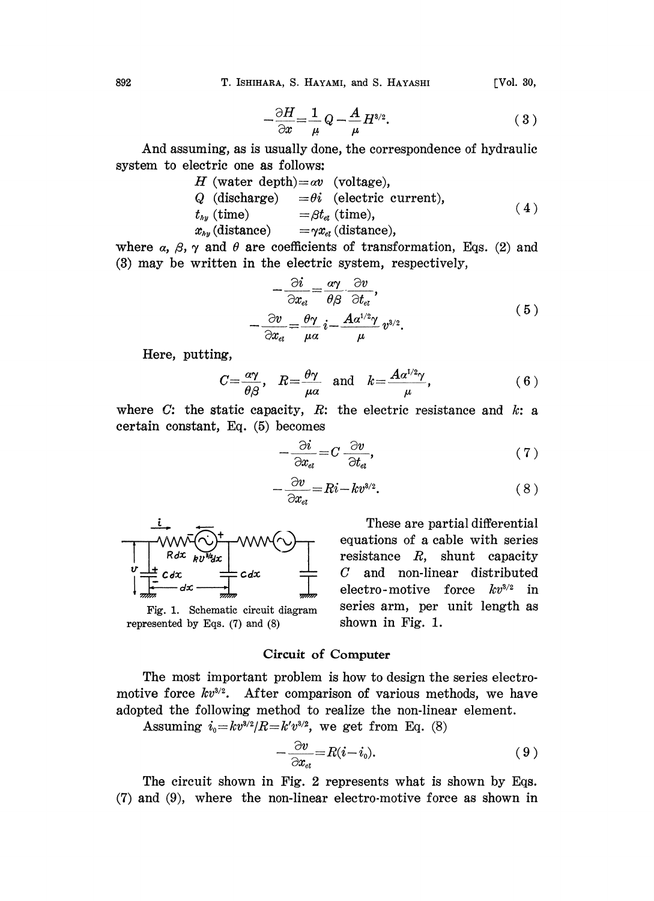892 T. ISHIHARA, S. HAYAMI, and S. HAYASHI [Vol. 30,

$$
-\frac{\partial H}{\partial x} = \frac{1}{\mu} Q - \frac{A}{\mu} H^{3/2}.
$$
 (3)

And assuming, as is usually done, the correspondence of hydraulic system to electric one as follows:

H (water depth)=
$$
\alpha v
$$
 (voltage),  
\nQ (discharge) = $\theta i$  (electric current),  
\n $t_{hy}$  (time) = $\beta t_{el}$  (time),  
\n $x_{hy}$  (distance) = $\gamma x_{el}$  (distance), (4)

where  $\alpha$ ,  $\beta$ ,  $\gamma$  and  $\theta$  are coefficients of transformation, Eqs. (2) and (3) may be written in the electric system, respectively,

$$
-\frac{\partial i}{\partial x_{el}} = \frac{\alpha \gamma}{\theta \beta} \frac{\partial v}{\partial t_{el}},
$$
  

$$
-\frac{\partial v}{\partial x_{el}} = \frac{\theta \gamma}{\mu \alpha} i - \frac{A \alpha^{1/2} \gamma}{\mu} v^{3/2}.
$$
 (5)

Here, putting,

$$
C = \frac{\alpha \gamma}{\theta \beta}, \quad R = \frac{\theta \gamma}{\mu \alpha} \quad \text{and} \quad k = \frac{A \alpha^{1/2} \gamma}{\mu}, \tag{6}
$$

where  $C$ : the static capacity,  $R$ : the electric resistance and  $k$ : a certain constant, Eq. (5) becomes

$$
\frac{\partial i}{\partial x_{al}} = C \frac{\partial v}{\partial t_{al}},\tag{7}
$$

$$
-\frac{\partial v}{\partial x_{\scriptscriptstyle e\scriptscriptstyle l}} = Ri - kv^{3/2}.\tag{8}
$$



represented by Eqs.  $(7)$  and  $(8)$  shown in Fig. 1.

These are partial differential equations of a cable with series resistance R, shunt capacity C and non-linear distributed electro-motive force  $kv^{3/2}$  in Fig. 1. Schematic circuit diagram series arm, per unit length as

## Circuit of Computer

The most important problem is how to design the series electromotive force  $kv^{3/2}$ . After comparison of various methods, we have adopted the following method to realize the non-linear element.

Assuming  $i_0 = kv^{3/2}/R = k'v^{3/2}$ , we get from Eq. (8)

$$
-\frac{\partial v}{\partial x_{\epsilon t}} = R(i - i_0). \tag{9}
$$

The circuit shown in Fig. 2 represents what is shown by Eqs. (7) and (9), where the non-linear electro-motive force as shown in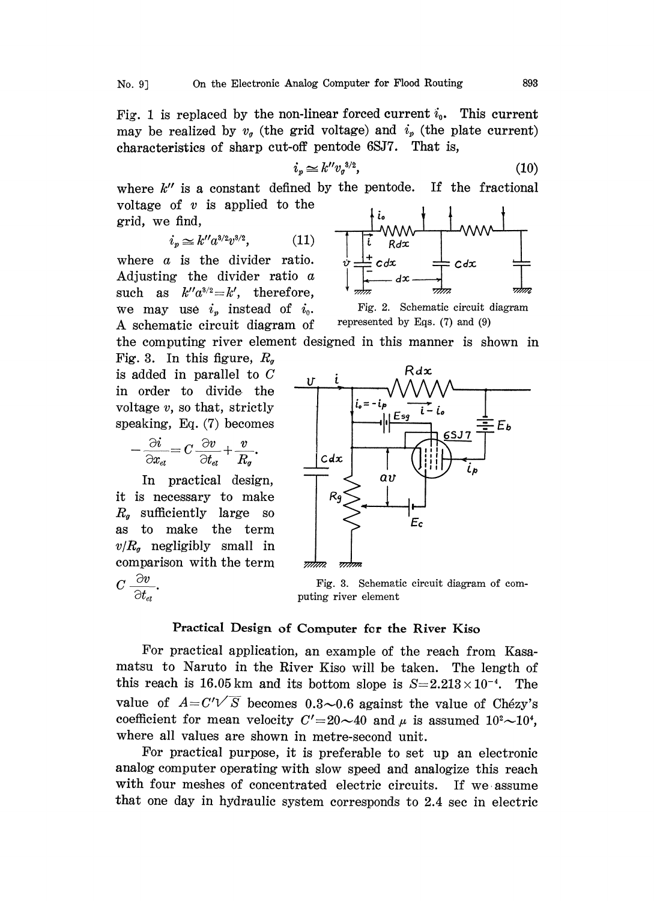Fig. 1 is replaced by the non-linear forced current  $i_0$ . This current may be realized by  $v_q$  (the grid voltage) and  $i_p$  (the plate current) characteristics of sharp cut-off pentode 6SJ7. That is,

$$
i_v \simeq k'' v_o^{3/2},\tag{10}
$$

where  $k''$  is a constant defined by the pentode. If the fractional voltage of  $v$  is applied to the grid, we find,

$$
i_p \simeq k'' a^{3/2} v^{3/2}, \tag{11}
$$

where a is the divider ratio. Adjusting the divider ratio a such as  $k''a^{3/2} = k'$ , therefore, we may use  $i_p$  instead of  $i_0$ . A schematic circuit diagram of represented by Eqs.  $(7)$  and  $(9)$ the computing river element designed in this manner is shown in

Fig. 3. In this figure,  $R_{q}$ is added in parallel to C in order to divide the voltage  $v$ , so that, strictly speaking, Eq. (7) becomes

$$
\frac{\partial i}{\partial x_{\epsilon t}} = C \frac{\partial v}{\partial t_{\epsilon t}} + \frac{v}{R_g}.
$$

In practical design, it is necessary to make  $R<sub>g</sub>$  sufficiently large so as to make the term  $v/R<sub>g</sub>$  negligibly small in comparison with the term  $C\,\frac{\partial v}{\partial t_{\mathit{el}}}.$ 



Fig. 2. Schematic circuit diagram



Fig. 3. Schematic circuit diagram of computing river element

## Practical Design of Computer for the River Kiso

For practical application, an example of the reach from Kasamatsu to Naruto in the River Kiso will be taken. The length of this reach is 16.05 km and its bottom slope is  $S=2.213\times 10^{-4}$ . The value of  $A = C'\sqrt{S}$  becomes 0.3~0.6 against the value of Chézy's coefficient for mean velocity  $C' = 20 \sim 40$  and  $\mu$  is assumed  $10^{2} \sim 10^{4}$ , where all values are shown in metre-second unit.

For practical purpose, it is preferable to set up an electronic analog computer operating with slow speed and analogize this reach with four meshes of concentrated electric circuits. If we assume hat one day in hydraulic system corresponds to 2.4 sec in electric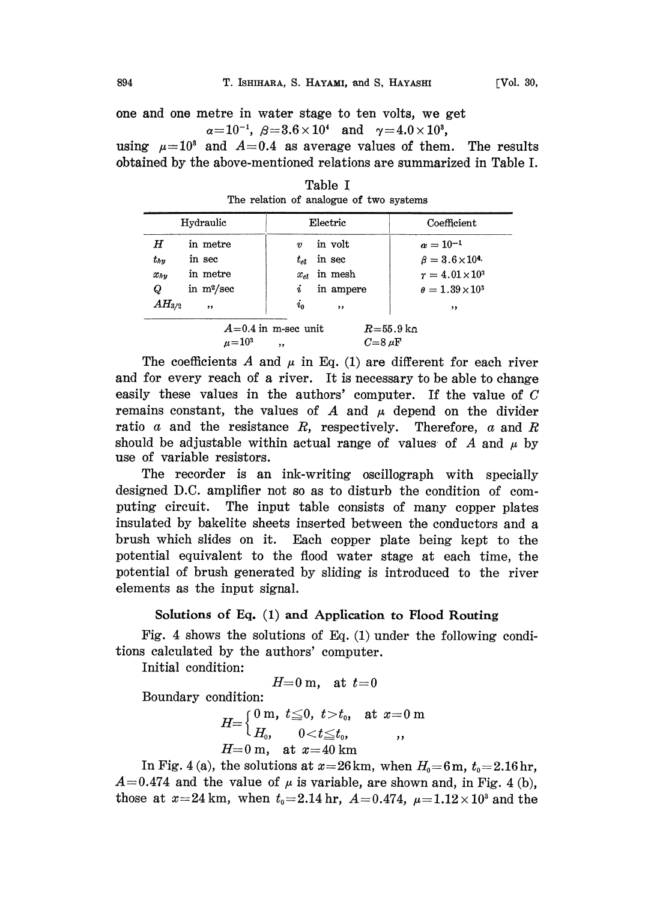one and one metre in water stage to ten volts, we get  $\alpha=10^{-1}$ ,  $\beta=3.6\times 10^4$  and  $\gamma=4.0\times 10^3$ ,

using  $\mu=10^3$  and  $A=0.4$  as average values of them. The results obtained by the above-mentioned relations are summarized in Table I.

| Hydraulic                                                                             |              | Electric                    | Coefficient                 |
|---------------------------------------------------------------------------------------|--------------|-----------------------------|-----------------------------|
| $\bm H$                                                                               | in metre     | in volt<br>$\boldsymbol{v}$ | $a = 10^{-1}$               |
| $t_{hv}$                                                                              | in sec       | in sec<br>$t_{el}$          | $\beta = 3.6 \times 10^{4}$ |
| $x_{hv}$                                                                              | in metre     | in mesh<br>$x_{el}$         | $r = 4.01 \times 10^3$      |
| Q                                                                                     | in $m^2/sec$ | in ampere<br>i              | $\theta = 1.39 \times 10^3$ |
| $AH_{3/2}$                                                                            | ,            | $i_0$<br>,,                 | ,,                          |
| $A=0.4$ in m-sec unit<br>$R = 55.9 \text{ kg}$<br>$C = 8 \mu F$<br>$\mu = 10^3$<br>,, |              |                             |                             |

Table I The relation of analogue of two systems

The coefficients A and  $\mu$  in Eq. (1) are different for each river and for every reach of a river. It is necessary to be able to change easily these values in the authors' computer. If the value of C remains constant, the values of A and  $\mu$  depend on the divider ratio  $a$  and the resistance  $R$ , respectively. Therefore,  $a$  and  $R$ should be adjustable within actual range of values of A and  $\mu$  by use of variable resistors.

The recorder is an ink-writing oscillograph with specially designed D.C. amplifier not so as to disturb the condition of computing circuit. The input table consists of many copper plates insulated by bakelite sheets inserted between the conductors and a brush which slides on it. Each copper plate being kept to the potential equivalent to the flood water stage at each time, the potential of brush generated by sliding is introduced to the river elements as the input signal.

### Solutions of Eq. (1) and Application to Flood Routing

Fig. 4 shows the solutions of Eq. (1) under the following conditions calculated by the authors' computer,

Initial condition:

$$
H=0\ \mathrm{m},\quad\mathrm{at}\ \ t=0
$$

Boundary condition:

$$
H\!\!=\!\!\left\{\!\!\begin{array}{ll} \!\!\!0~\mathrm{m},~t\!\leq\! 0,~t\!>\!t_0,~~\mathrm{at}~x\!=\!0~\mathrm{m}\\ H_\mathrm{0},~~0\!<\!t\!\leq\! t_0,~~\phantom{-},\\ H\!=\!0~\mathrm{m},~~\mathrm{at}~x\!=\!40~\mathrm{km} \end{array}\!\!\right.\!\!.
$$

In Fig. 4 (a), the solutions at  $x=26$  km, when  $H_0=6$  m,  $t_0=2.16$  hr,  $A=0.474$  and the value of  $\mu$  is variable, are shown and, in Fig. 4 (b), those at  $x=24$  km, when  $t_0=2.14$  hr,  $A=0.474$ ,  $\mu=1.12\times10^3$  and the